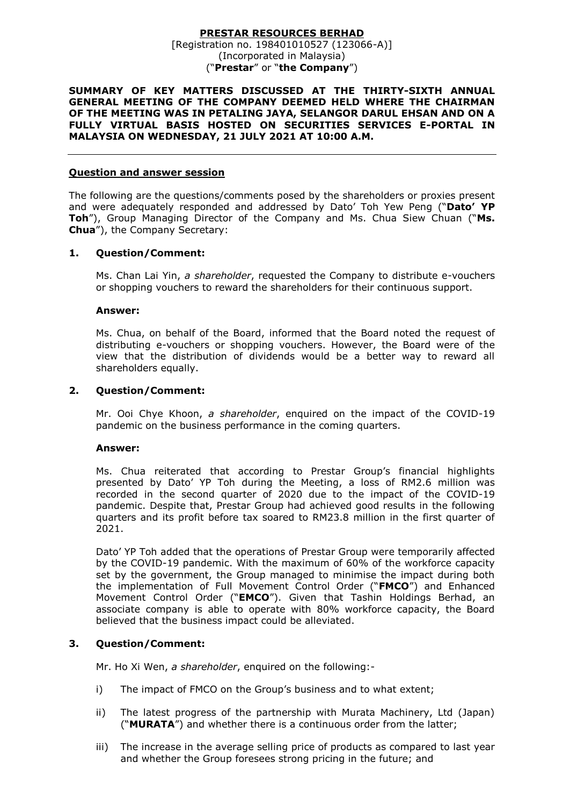#### **PRESTAR RESOURCES BERHAD** [Registration no. 198401010527 (123066-A)] (Incorporated in Malaysia) ("**Prestar**" or "**the Company**")

### **SUMMARY OF KEY MATTERS DISCUSSED AT THE THIRTY-SIXTH ANNUAL GENERAL MEETING OF THE COMPANY DEEMED HELD WHERE THE CHAIRMAN OF THE MEETING WAS IN PETALING JAYA, SELANGOR DARUL EHSAN AND ON A FULLY VIRTUAL BASIS HOSTED ON SECURITIES SERVICES E-PORTAL IN MALAYSIA ON WEDNESDAY, 21 JULY 2021 AT 10:00 A.M.**

### **Question and answer session**

The following are the questions/comments posed by the shareholders or proxies present and were adequately responded and addressed by Dato' Toh Yew Peng ("**Dato' YP Toh**"), Group Managing Director of the Company and Ms. Chua Siew Chuan ("**Ms. Chua**"), the Company Secretary:

### **1. Question/Comment:**

Ms. Chan Lai Yin, *a shareholder*, requested the Company to distribute e-vouchers or shopping vouchers to reward the shareholders for their continuous support.

#### **Answer:**

Ms. Chua, on behalf of the Board, informed that the Board noted the request of distributing e-vouchers or shopping vouchers. However, the Board were of the view that the distribution of dividends would be a better way to reward all shareholders equally.

### **2. Question/Comment:**

Mr. Ooi Chye Khoon, *a shareholder*, enquired on the impact of the COVID-19 pandemic on the business performance in the coming quarters.

#### **Answer:**

Ms. Chua reiterated that according to Prestar Group's financial highlights presented by Dato' YP Toh during the Meeting, a loss of RM2.6 million was recorded in the second quarter of 2020 due to the impact of the COVID-19 pandemic. Despite that, Prestar Group had achieved good results in the following quarters and its profit before tax soared to RM23.8 million in the first quarter of 2021.

Dato' YP Toh added that the operations of Prestar Group were temporarily affected by the COVID-19 pandemic. With the maximum of 60% of the workforce capacity set by the government, the Group managed to minimise the impact during both the implementation of Full Movement Control Order ("**FMCO**") and Enhanced Movement Control Order ("**EMCO**"). Given that Tashin Holdings Berhad, an associate company is able to operate with 80% workforce capacity, the Board believed that the business impact could be alleviated.

### **3. Question/Comment:**

Mr. Ho Xi Wen, *a shareholder*, enquired on the following:-

- i) The impact of FMCO on the Group's business and to what extent;
- ii) The latest progress of the partnership with Murata Machinery, Ltd (Japan) ("**MURATA**") and whether there is a continuous order from the latter;
- iii) The increase in the average selling price of products as compared to last year and whether the Group foresees strong pricing in the future; and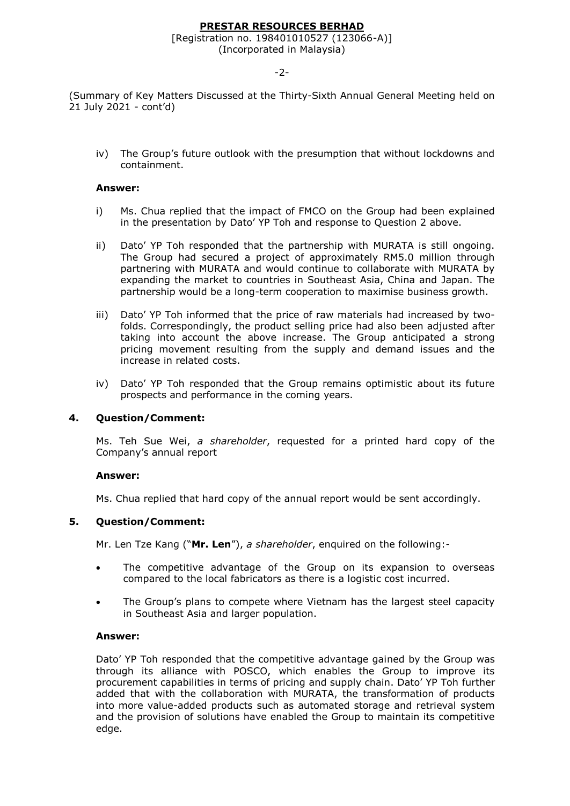# **PRESTAR RESOURCES BERHAD**

# [Registration no. 198401010527 (123066-A)]

(Incorporated in Malaysia)

-2-

(Summary of Key Matters Discussed at the Thirty-Sixth Annual General Meeting held on 21 July 2021 - cont'd)

iv) The Group's future outlook with the presumption that without lockdowns and containment.

### **Answer:**

- i) Ms. Chua replied that the impact of FMCO on the Group had been explained in the presentation by Dato' YP Toh and response to Question 2 above.
- ii) Dato' YP Toh responded that the partnership with MURATA is still ongoing. The Group had secured a project of approximately RM5.0 million through partnering with MURATA and would continue to collaborate with MURATA by expanding the market to countries in Southeast Asia, China and Japan. The partnership would be a long-term cooperation to maximise business growth.
- iii) Dato' YP Toh informed that the price of raw materials had increased by twofolds. Correspondingly, the product selling price had also been adjusted after taking into account the above increase. The Group anticipated a strong pricing movement resulting from the supply and demand issues and the increase in related costs.
- iv) Dato' YP Toh responded that the Group remains optimistic about its future prospects and performance in the coming years.

# **4. Question/Comment:**

Ms. Teh Sue Wei, *a shareholder*, requested for a printed hard copy of the Company's annual report

#### **Answer:**

Ms. Chua replied that hard copy of the annual report would be sent accordingly.

# **5. Question/Comment:**

Mr. Len Tze Kang ("**Mr. Len**"), *a shareholder*, enquired on the following:-

- The competitive advantage of the Group on its expansion to overseas compared to the local fabricators as there is a logistic cost incurred.
- The Group's plans to compete where Vietnam has the largest steel capacity in Southeast Asia and larger population.

#### **Answer:**

Dato' YP Toh responded that the competitive advantage gained by the Group was through its alliance with POSCO, which enables the Group to improve its procurement capabilities in terms of pricing and supply chain. Dato' YP Toh further added that with the collaboration with MURATA, the transformation of products into more value-added products such as automated storage and retrieval system and the provision of solutions have enabled the Group to maintain its competitive edge.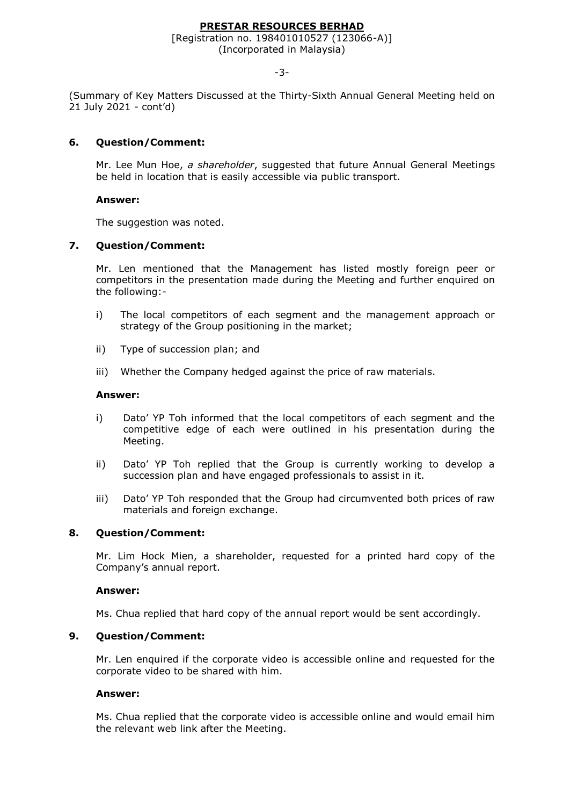# **PRESTAR RESOURCES BERHAD**

# [Registration no. 198401010527 (123066-A)]

(Incorporated in Malaysia)

-3-

(Summary of Key Matters Discussed at the Thirty-Sixth Annual General Meeting held on 21 July 2021 - cont'd)

# **6. Question/Comment:**

Mr. Lee Mun Hoe, *a shareholder*, suggested that future Annual General Meetings be held in location that is easily accessible via public transport.

# **Answer:**

The suggestion was noted.

# **7. Question/Comment:**

Mr. Len mentioned that the Management has listed mostly foreign peer or competitors in the presentation made during the Meeting and further enquired on the following:-

- i) The local competitors of each segment and the management approach or strategy of the Group positioning in the market;
- ii) Type of succession plan; and
- iii) Whether the Company hedged against the price of raw materials.

# **Answer:**

- i) Dato' YP Toh informed that the local competitors of each segment and the competitive edge of each were outlined in his presentation during the Meeting.
- ii) Dato' YP Toh replied that the Group is currently working to develop a succession plan and have engaged professionals to assist in it.
- iii) Dato' YP Toh responded that the Group had circumvented both prices of raw materials and foreign exchange.

# **8. Question/Comment:**

Mr. Lim Hock Mien, a shareholder, requested for a printed hard copy of the Company's annual report.

# **Answer:**

Ms. Chua replied that hard copy of the annual report would be sent accordingly.

# **9. Question/Comment:**

Mr. Len enquired if the corporate video is accessible online and requested for the corporate video to be shared with him.

# **Answer:**

Ms. Chua replied that the corporate video is accessible online and would email him the relevant web link after the Meeting.